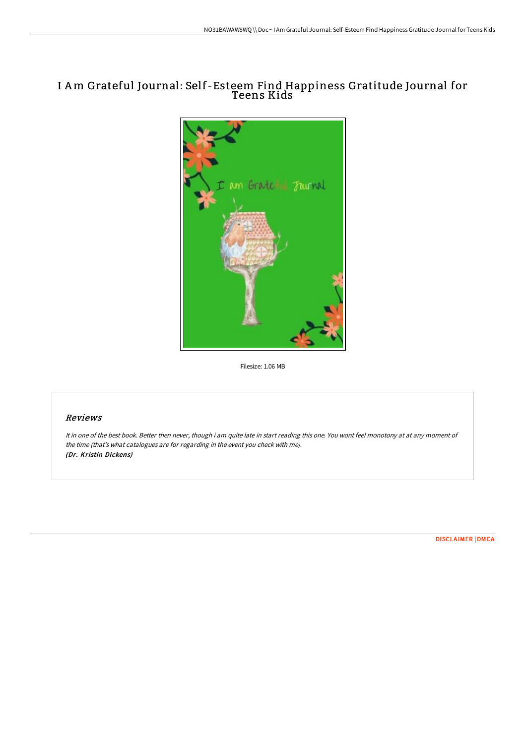# I Am Grateful Journal: Self-Esteem Find Happiness Gratitude Journal for Teens Kids



Filesize: 1.06 MB

### Reviews

It in one of the best book. Better then never, though i am quite late in start reading this one. You wont feel monotony at at any moment of the time (that's what catalogues are for regarding in the event you check with me). (Dr. Kristin Dickens)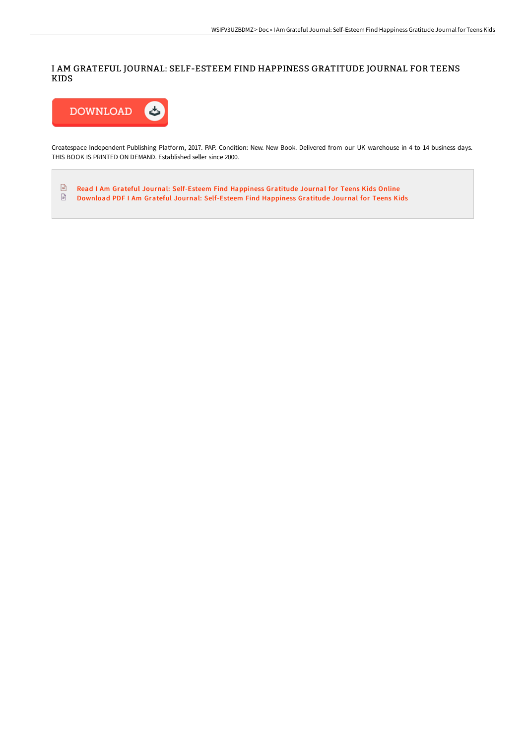### I AM GRATEFUL JOURNAL: SELF-ESTEEM FIND HAPPINESS GRATITUDE JOURNAL FOR TEENS KIDS



Createspace Independent Publishing Platform, 2017. PAP. Condition: New. New Book. Delivered from our UK warehouse in 4 to 14 business days. THIS BOOK IS PRINTED ON DEMAND. Established seller since 2000.

 $\frac{1}{\sqrt{2}}$ Read I Am Grateful Journal: [Self-Esteem](http://albedo.media/i-am-grateful-journal-self-esteem-find-happiness.html) Find Happiness Gratitude Journal for Teens Kids Online  $\ensuremath{\mathop{\boxplus}}$ Download PDF I Am Grateful Journal: [Self-Esteem](http://albedo.media/i-am-grateful-journal-self-esteem-find-happiness.html) Find Happiness Gratitude Journal for Teens Kids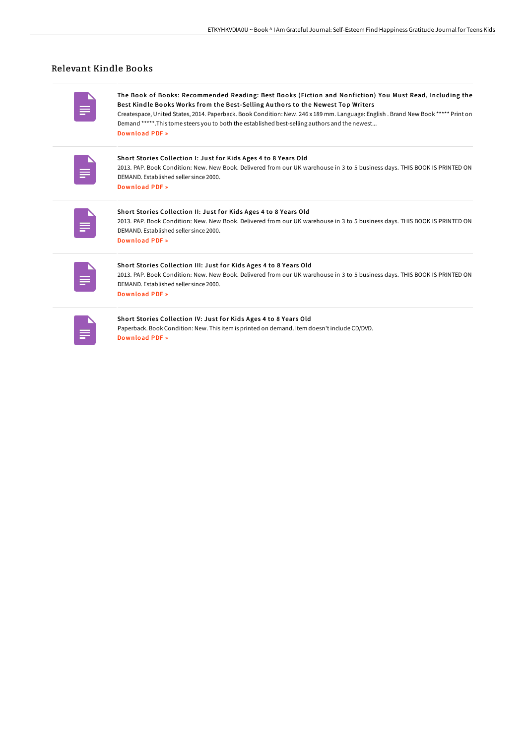## Relevant Kindle Books

The Book of Books: Recommended Reading: Best Books (Fiction and Nonfiction) You Must Read, Including the Best Kindle Books Works from the Best-Selling Authors to the Newest Top Writers

Createspace, United States, 2014. Paperback. Book Condition: New. 246 x 189 mm. Language: English . Brand New Book \*\*\*\*\* Print on Demand \*\*\*\*\*.This tome steers you to both the established best-selling authors and the newest... [Download](http://albedo.media/the-book-of-books-recommended-reading-best-books.html) PDF »

| - |
|---|
|   |

Short Stories Collection I: Just for Kids Ages 4 to 8 Years Old

2013. PAP. Book Condition: New. New Book. Delivered from our UK warehouse in 3 to 5 business days. THIS BOOK IS PRINTED ON DEMAND. Established seller since 2000. [Download](http://albedo.media/short-stories-collection-i-just-for-kids-ages-4-.html) PDF »

| ___ |
|-----|
| -   |

#### Short Stories Collection II: Just for Kids Ages 4 to 8 Years Old

2013. PAP. Book Condition: New. New Book. Delivered from our UK warehouse in 3 to 5 business days. THIS BOOK IS PRINTED ON DEMAND. Established seller since 2000. [Download](http://albedo.media/short-stories-collection-ii-just-for-kids-ages-4.html) PDF »

|  | $\sim$<br>_ |  |
|--|-------------|--|

#### Short Stories Collection III: Just for Kids Ages 4 to 8 Years Old 2013. PAP. Book Condition: New. New Book. Delivered from our UK warehouse in 3 to 5 business days. THIS BOOK IS PRINTED ON DEMAND. Established seller since 2000.

[Download](http://albedo.media/short-stories-collection-iii-just-for-kids-ages-.html) PDF »

| _ |  |
|---|--|
| - |  |
|   |  |

#### Short Stories Collection IV: Just for Kids Ages 4 to 8 Years Old

Paperback. Book Condition: New. This item is printed on demand. Item doesn't include CD/DVD. [Download](http://albedo.media/short-stories-collection-iv-just-for-kids-ages-4.html) PDF »